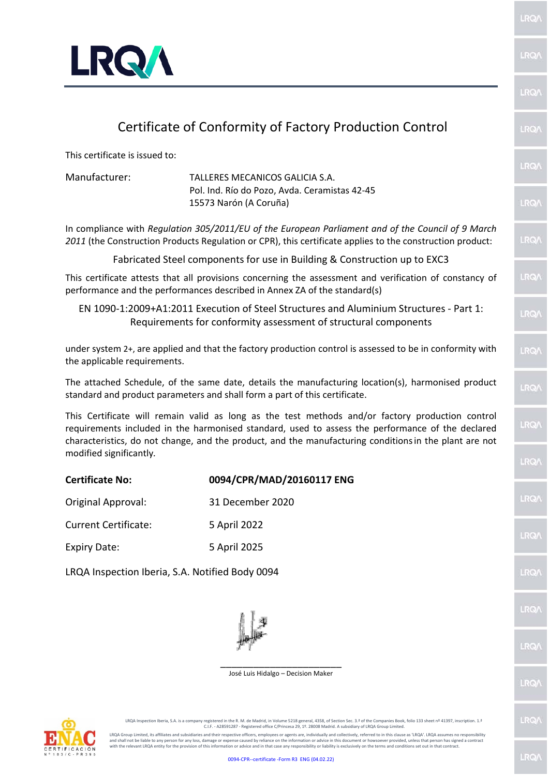

## Certificate of Conformity of Factory Production Control

This certificate is issued to:

Manufacturer: TALLERES MECANICOS GALICIA S.A. Pol. Ind. Río do Pozo, Avda. Ceramistas 42-45 15573 Narón (A Coruña)

In compliance with *Regulation 305/2011/EU of the European Parliament and of the Council of 9 March 2011* (the Construction Products Regulation or CPR), this certificate applies to the construction product:

Fabricated Steel components for use in Building & Construction up to EXC3

This certificate attests that all provisions concerning the assessment and verification of constancy of performance and the performances described in Annex ZA of the standard(s)

EN 1090-1:2009+A1:2011 Execution of Steel Structures and Aluminium Structures - Part 1: Requirements for conformity assessment of structural components

under system 2+, are applied and that the factory production control is assessed to be in conformity with the applicable requirements.

The attached Schedule, of the same date, details the manufacturing location(s), harmonised product standard and product parameters and shall form a part of this certificate.

This Certificate will remain valid as long as the test methods and/or factory production control requirements included in the harmonised standard, used to assess the performance of the declared characteristics, do not change, and the product, and the manufacturing conditionsin the plant are not modified significantly*.*

| <b>Certificate No:</b>      | 0094/CPR/MAD/20160117 ENG |
|-----------------------------|---------------------------|
| Original Approval:          | 31 December 2020          |
| <b>Current Certificate:</b> | 5 April 2022              |
| <b>Expiry Date:</b>         | 5 April 2025              |
|                             |                           |

LRQA Inspection Iberia, S.A. Notified Body 0094



\_\_\_\_\_\_\_\_\_\_\_\_\_\_\_\_\_\_\_\_\_\_ José Luis Hidalgo – Decision Maker



LRQA Inspection Iberia, S.A. is a company registered in the R. M. de Madrid, in Volume 5218 general, 4358, of Section Sec. 3.ª of the Companies Book, folio 133 sheet nº 41397, inscription. 1.ª<br>C.I.F. - A28591287 - Registe

LRQA Group Limited, its affiliates and subsidiaries and their respective officers, employees or agents are, individually and collectively, referred to in this clause as 'LRQA'. LRQA assumes no responsibility<br>and shall not

LRO/

LRO

LRO

**IRQ** 

LRQ

**LRQA** 

LRO/

LRO/

**LRO** 

LRO/

**RQ** 

LRQ

LRQ/

**LRQ** 

LRO/

RO

**IRG** 

RQ

LRQ/